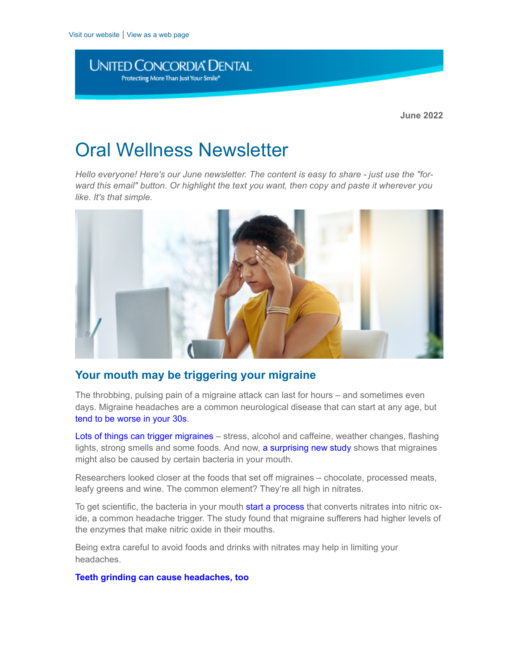**UNITED CONCORDIA® DENTAL** Protecting More Than Just Your Smile\*

# Oral Wellness Newsletter

*Hello everyone! Here's our June newsletter. The content is easy to share - just use the "forward this email" button. Or highlight the text you want, then copy and paste it wherever you like. It's that simple.*



## **Your mouth may be triggering your migraine**

The throbbing, pulsing pain of a migraine attack can last for hours – and sometimes even days. Migraine headaches are a common neurological disease that can start at any age, but [tend to be worse in your 30s.](https://www.mayoclinic.org/diseases-conditions/migraine-headache/symptoms-causes/syc-20360201#:~:text=Migraines%20can%20begin%20at%20any,than%20men%20to%20have%20migraines.)

[Lots of things can trigger migraines](https://www.mayoclinic.org/diseases-conditions/migraine-headache/symptoms-causes/syc-20360201#:~:text=Stress%20at%20work%20or%20home,trigger%20migraines%20in%20some%20people.) – stress, alcohol and caffeine, weather changes, flashing lights, strong smells and some foods. And now, [a surprising new study](https://www.medicalnewstoday.com/articles/313541) shows that migraines might also be caused by certain bacteria in your mouth.

Researchers looked closer at the foods that set off migraines – chocolate, processed meats, leafy greens and wine. The common element? They're all high in nitrates.

To get scientific, the bacteria in your mouth [start a process](https://www.medicalnewstoday.com/articles/313541#Nitrates,-nitrites,-nitric-oxide,-and-migraines) that converts nitrates into nitric oxide, a common headache trigger. The study found that migraine sufferers had higher levels of the enzymes that make nitric oxide in their mouths.

Being extra careful to avoid foods and drinks with nitrates may help in limiting your headaches.

**[Teeth grinding can cause headaches, too](https://www.unitedconcordia.com/benefits/oral-health-resources/medical-conditions-oral-health/grinding-your-teeth)**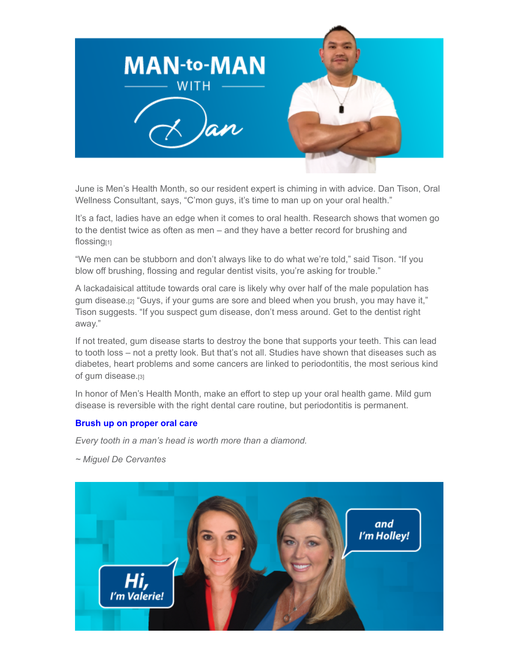

June is Men's Health Month, so our resident expert is chiming in with advice. Dan Tison, Oral Wellness Consultant, says, "C'mon guys, it's time to man up on your oral health."

It's a fact, ladies have an edge when it comes to oral health. Research shows that women go to the dentist twice as often as men – and they have a better record for brushing and flossing[1]

"We men can be stubborn and don't always like to do what we're told," said Tison. "If you blow off brushing, flossing and regular dentist visits, you're asking for trouble."

A lackadaisical attitude towards oral care is likely why over half of the male population has gum disease.[2] "Guys, if your gums are sore and bleed when you brush, you may have it," Tison suggests. "If you suspect gum disease, don't mess around. Get to the dentist right away."

If not treated, gum disease starts to destroy the bone that supports your teeth. This can lead to tooth loss – not a pretty look. But that's not all. Studies have shown that diseases such as diabetes, heart problems and some cancers are linked to periodontitis, the most serious kind of gum disease.[3]

In honor of Men's Health Month, make an effort to step up your oral health game. Mild gum disease is reversible with the right dental care routine, but periodontitis is permanent.

## **[Brush up on proper oral care](https://www.unitedconcordia.com/benefits/oral-health-resources/oral-care-disease-prevention)**

*Every tooth in a man's head is worth more than a diamond.*

*~ Miguel De Cervantes*

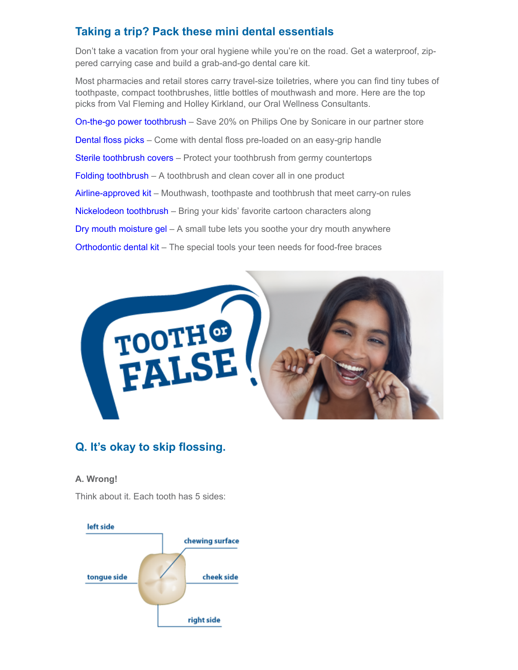## **Taking a trip? Pack these mini dental essentials**

Don't take a vacation from your oral hygiene while you're on the road. Get a waterproof, zippered carrying case and build a grab-and-go dental care kit.

Most pharmacies and retail stores carry travel-size toiletries, where you can find tiny tubes of toothpaste, compact toothbrushes, little bottles of mouthwash and more. Here are the top picks from Val Fleming and Holley Kirkland, our Oral Wellness Consultants.

[On-the-go power toothbrush](https://www.usa.philips.com/c-e/shop/sonicare-partner-store?origin=2_us_en_ucd_ohc) – Save 20% on Philips One by Sonicare in our partner store [Dental floss picks](https://www.amazon.com/Plackers-Micro-Dental-Floss-Travel/dp/B00AL14WES/ref=asc_df_B00AL14WES/?tag=&linkCode=df0&hvadid=312068952922&hvpos=&hvnetw=g&hvrand=6884952261499084789&hvpone=&hvptwo=&hvqmt=&hvdev=c&hvdvcmdl=&hvlocint=&hvlocphy=1025202&hvtargid=pla-568287775902&ref=&adgrpid=65787042927&th=1) – Come with dental floss pre-loaded on an easy-grip handle [Sterile toothbrush covers](https://www.amazon.com/Steripod-Clip-Toothbrush-Protector-Count/dp/B0873WSPQ5/ref=asc_df_B0873WSPQ5/?tag=hyprod-20&linkCode=df0&hvadid=459509466150&hvpos=&hvnetw=g&hvrand=13016142585708991994&hvpone=&hvptwo=&hvqmt=&hvdev=c&hvdvcmdl=&hvlocint=&hvlocphy=1025202&hvtargid=pla-933526444064&th=1) – Protect your toothbrush from germy countertops [Folding toothbrush](https://www.target.com/p/gum-folding-travel-toothbrush-trial-size-2ct/-/A-51237450#lnk=sametab) – A toothbrush and clean cover all in one product [Airline-approved kit](https://www.target.com/p/crest-smile-pro-travel-dental-pack-with-mouthwash-and-toothpaste-trial-size-3ct/-/A-51168933#lnk=sametab) – Mouthwash, toothpaste and toothbrush that meet carry-on rules [Nickelodeon toothbrush](https://www.target.com/p/firefly-oral-care-lol-surprise-value-pack-toothbrush-38-cap-or-baby-shark-mixed-case-toothbrush-trial-size-3pk/-/A-80210691#lnk=sametab) – Bring your kids' favorite cartoon characters along [Dry mouth moisture gel](https://www.target.com/p/biotene-oralbalance-moisturizing-gel-dry-mouth-trial-size-1-5oz/-/A-81314204#lnk=sametab) – A small tube lets you soothe your dry mouth anywhere [Orthodontic dental kit](https://www.amazon.com/Sunstar-124KK-GUM-Orthodontic-Kit/dp/B06XY65XQY/ref=asc_df_B06XY65XQY/?tag=&linkCode=df0&hvadid=312050278235&hvpos=&hvnetw=g&hvrand=894212247913553298&hvpone=&hvptwo=&hvqmt=&hvdev=c&hvdvcmdl=&hvlocint=&hvlocphy=1025202&hvtargid=pla-569615502920&ref=&adgrpid=61714659723&th=1) – The special tools your teen needs for food-free braces



## **Q. It's okay to skip flossing.**

## **A. Wrong!**

Think about it. Each tooth has 5 sides: